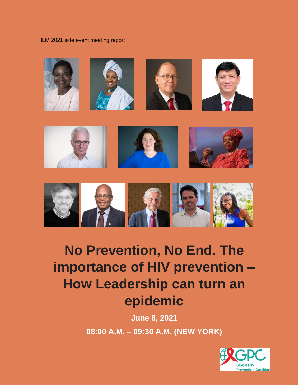HLM 2021 side event meeting report





# **No Prevention, No End. The importance of HIV prevention – How Leadership can turn an epidemic**

**June 8, 2021 08:00 A.M. – 09:30 A.M. (NEW YORK)**

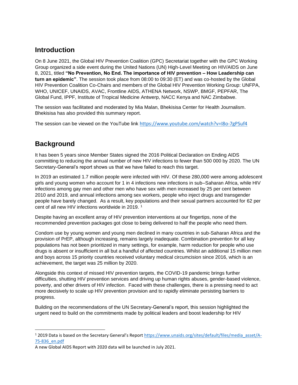### **Introduction**

On 8 June 2021, the Global HIV Prevention Coalition (GPC) Secretariat together with the GPC Working Group organized a side event during the United Nations (UN) High-Level Meeting on HIV/AIDS on June 8, 2021, titled **"No Prevention, No End. The importance of HIV prevention – How Leadership can turn an epidemic"**. The session took place from 08:00 to 09:30 (ET) and was co-hosted by the Global HIV Prevention Coalition Co-Chairs and members of the Global HIV Prevention Working Group: UNFPA, WHO, UNICEF, UNAIDS, AVAC, Frontline AIDS, ATHENA Network, NSWP, BMGF, PEPFAR, The Global Fund, IPPF, Institute of Tropical Medicine Antwerp, NACC Kenya and NAC Zimbabwe.

The session was facilitated and moderated by Mia Malan, Bhekisisa Center for Health Journalism. Bhekisisa has also provided this summary report.

The session can be viewed on the YouTube link <https://www.youtube.com/watch?v=I8o-7gPSuf4>

# **Background**

It has been 5 years since Member States signed the 2016 Political Declaration on Ending AIDS committing to reducing the annual number of new HIV infections to fewer than 500 000 by 2020. The UN Secretary-General's report shows us that we have failed to reach this target.

In 2019 an estimated 1.7 million people were infected with HIV. Of these 280,000 were among adolescent girls and young women who account for 1 in 4 infections new infections in sub–Saharan Africa, while HIV infections among gay men and other men who have sex with men increased by 25 per cent between 2010 and 2019, and annual infections among sex workers, people who inject drugs and transgender people have barely changed. As a result, key populations and their sexual partners accounted for 62 per cent of all new HIV infections worldwide in 2019.<sup>1</sup>

Despite having an excellent array of HIV prevention interventions at our fingertips, none of the recommended prevention packages got close to being delivered to half the people who need them.

Condom use by young women and young men declined in many countries in sub-Saharan Africa and the provision of PrEP, although increasing, remains largely inadequate. Combination prevention for all key populations has not been prioritized in many settings, for example, harm reduction for people who use drugs is absent or insufficient in all but a handful of affected countries. Whilst an additional 15 million men and boys across 15 priority countries received voluntary medical circumcision since 2016, which is an achievement, the target was 25 million by 2020.

Alongside this context of missed HIV prevention targets, the COVID-19 pandemic brings further difficulties, shutting HIV prevention services and driving up human rights abuses, gender-based violence, poverty, and other drivers of HIV infection. Faced with these challenges, there is a pressing need to act more decisively to scale up HIV prevention provision and to rapidly eliminate persisting barriers to progress.

Building on the recommendations of the UN Secretary-General's report, this session highlighted the urgent need to build on the commitments made by political leaders and boost leadership for HIV

<sup>1</sup> 2019 Data is based on the Secretary General's Report [https://www.unaids.org/sites/default/files/media\\_asset/A-](https://www.unaids.org/sites/default/files/media_asset/A-75-836_en.pdf)[75-836\\_en.pdf](https://www.unaids.org/sites/default/files/media_asset/A-75-836_en.pdf)

A new Global AIDS Report with 2020 data will be launched in July 2021.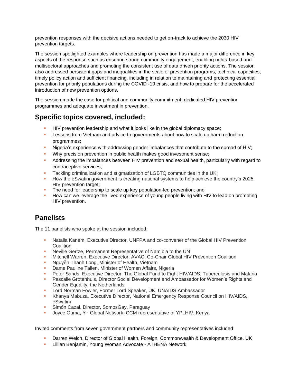prevention responses with the decisive actions needed to get on-track to achieve the 2030 HIV prevention targets.

The session spotlighted examples where leadership on prevention has made a major difference in key aspects of the response such as ensuring strong community engagement, enabling rights-based and multisectoral approaches and promoting the consistent use of data driven priority actions. The session also addressed persistent gaps and inequalities in the scale of prevention programs, technical capacities, timely policy action and sufficient financing, including in relation to maintaining and protecting essential prevention for priority populations during the COVID -19 crisis, and how to prepare for the accelerated introduction of new prevention options.

The session made the case for political and community commitment, dedicated HIV prevention programmes and adequate investment in prevention.

### **Specific topics covered, included:**

- HIV prevention leadership and what it looks like in the global diplomacy space;
- **EXECT** Lessons from Vietnam and advice to governments about how to scale up harm reduction programmes;
- Nigeria's experience with addressing gender imbalances that contribute to the spread of HIV;
- Why precision prevention in public health makes good investment sense;
- **•** Addressing the imbalances between HIV prevention and sexual health, particularly with regard to contraceptive services;
- Tackling criminalization and stigmatization of LGBTQ communities in the UK;
- **How the eSwatini government is creating national systems to help achieve the country's 2025** HIV prevention target;
- The need for leadership to scale up key population-led prevention: and
- **How can we leverage the lived experience of young people living with HIV to lead on promoting** HIV prevention.

# **Panelists**

The 11 panelists who spoke at the session included:

- **Natalia Kanem, Executive Director, UNFPA and co-convener of the Global HIV Prevention Coalition**
- **EXECTE:** Neville Gertze, Permanent Representative of Namibia to the UN
- Mitchell Warren, Executive Director, AVAC, Co-Chair Global HIV Prevention Coalition
- **Nguyễn Thanh Long, Minister of Health, Vietnam**
- **Dame Pauline Tallen, Minister of Women Affairs, Nigeria**
- Peter Sands, Executive Director, The Global Fund to Fight HIV/AIDS, Tuberculosis and Malaria
- **Pascalle Grotenhuis, Director Social Development and Ambassador for Women's Rights and** Gender Equality, the Netherlands
- **E** Lord Norman Fowler, Former Lord Speaker, UK. UNAIDS Ambassador
- **Khanya Mabuza, Executive Director, National Emergency Response Council on HIV/AIDS,** eSwatini
- **E.** Simón Cazal, Director, SomosGay, Paraguay
- Joyce Ouma, Y+ Global Network. CCM representative of YPLHIV, Kenya

Invited comments from seven government partners and community representatives included:

- Darren Welch, Director of Global Health, Foreign, Commonwealth & Development Office, UK
- **E.** Lillian Benjamin, Young Woman Advocate ATHENA Network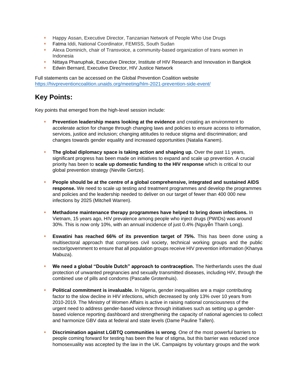- **Happy Assan, Executive Director, Tanzanian Network of People Who Use Drugs**
- **EXECT:** Fatma Iddi, National Coordinator, FEMISS, South Sudan
- **EXECT** Alexa Dominich, chair of Transvoice, a community-based organization of trans women in Indonesia
- **Nittaya Phanuphak, Executive Director, Institute of HIV Research and Innovation in Bangkok**
- Edwin Bernard, Executive Director, HIV Justice Network

Full statements can be accessed on the Global Prevention Coalition website <https://hivpreventioncoalition.unaids.org/meeting/hlm-2021-prevention-side-event/>

#### **Key Points:**

Key points that emerged from the high-level session include:

- **Prevention leadership means looking at the evidence** and creating an environment to accelerate action for change through changing laws and policies to ensure access to information, services, justice and inclusion; changing attitudes to reduce stigma and discrimination; and changes towards gender equality and increased opportunities (Natalia Kanem).
- **· The global diplomacy space is taking action and shaping up.** Over the past 11 years, significant progress has been made on initiatives to expand and scale up prevention. A crucial priority has been to **scale up domestic funding to the HIV response** which is critical to our global prevention strategy (Neville Gertze).
- **People should be at the centre of a global comprehensive, integrated and sustained AIDS response.** We need to scale up testing and treatment programmes and develop the programmes and policies and the leadership needed to deliver on our target of fewer than 400 000 new infections by 2025 (Mitchell Warren).
- **Methadone maintenance therapy programmes have helped to bring down infections.** In Vietnam, 15 years ago, HIV prevalence among people who inject drugs (PWIDs) was around 30%. This is now only 10%, with an annual incidence of just 0.4% (Nguyễn Thanh Long).
- **Eswatini has reached 66% of its prevention target of 75%.** This has been done using a multisectoral approach that comprises civil society, technical working groups and the public sector/government to ensure that all population groups receive HIV prevention information (Khanya Mabuza).
- **We need a global "Double Dutch" approach to contraception.** The Netherlands uses the dual protection of unwanted pregnancies and sexually transmitted diseases, including HIV, through the combined use of pills and condoms (Pascalle Grotenhuis).
- **Political commitment is invaluable.** In Nigeria, gender inequalities are a major contributing factor to the slow decline in HIV infections, which decreased by only 13% over 10 years from 2010-2019. The Ministry of Women Affairs is active in raising national consciousness of the urgent need to address gender-based violence through initiatives such as setting up a genderbased violence reporting dashboard and strengthening the capacity of national agencies to collect and harmonize GBV data at federal and state levels (Dame Pauline Tallen).
- **Discrimination against LGBTQ communities is wrong.** One of the most powerful barriers to people coming forward for testing has been the fear of stigma, but this barrier was reduced once homosexuality was accepted by the law in the UK. Campaigns by voluntary groups and the work